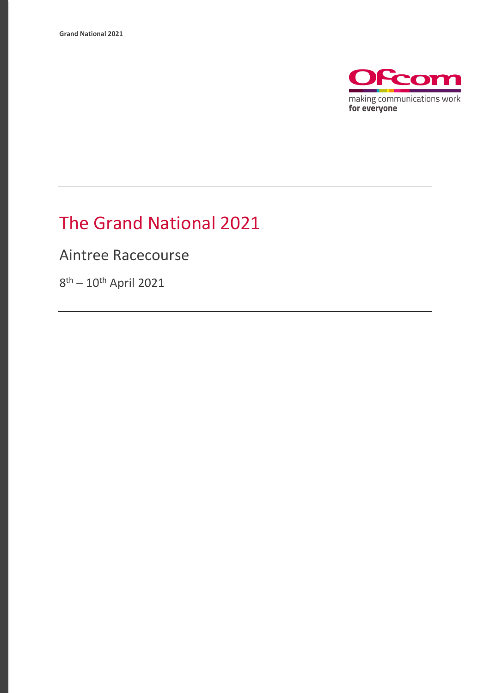

## The Grand National 2021

Aintree Racecourse

8<sup>th</sup> – 10<sup>th</sup> April 2021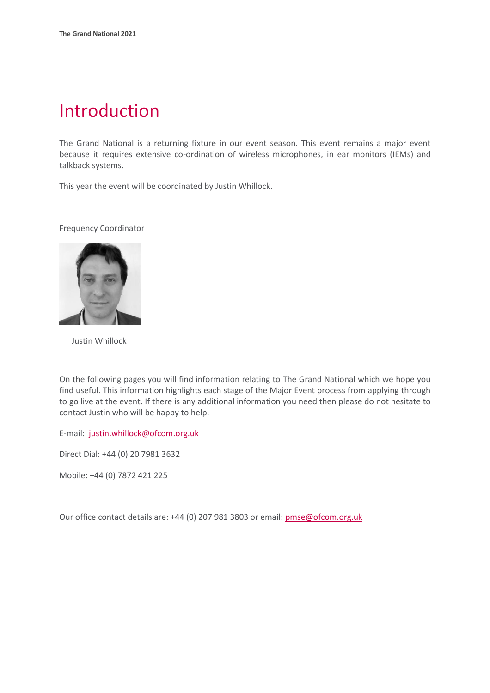### Introduction

The Grand National is a returning fixture in our event season. This event remains a major event because it requires extensive co-ordination of wireless microphones, in ear monitors (IEMs) and talkback systems.

This year the event will be coordinated by Justin Whillock.

Frequency Coordinator



Justin Whillock

On the following pages you will find information relating to The Grand National which we hope you find useful. This information highlights each stage of the Major Event process from applying through to go live at the event. If there is any additional information you need then please do not hesitate to contact Justin who will be happy to help.

E-mail: [justin.whillock@ofcom.org.uk](mailto:%20justin.whillock@ofcom.org.uk)

Direct Dial: +44 (0) 20 7981 3632

Mobile: +44 (0) 7872 421 225

Our office contact details are: +44 (0) 207 981 3803 or email: pmse@ofcom.org.uk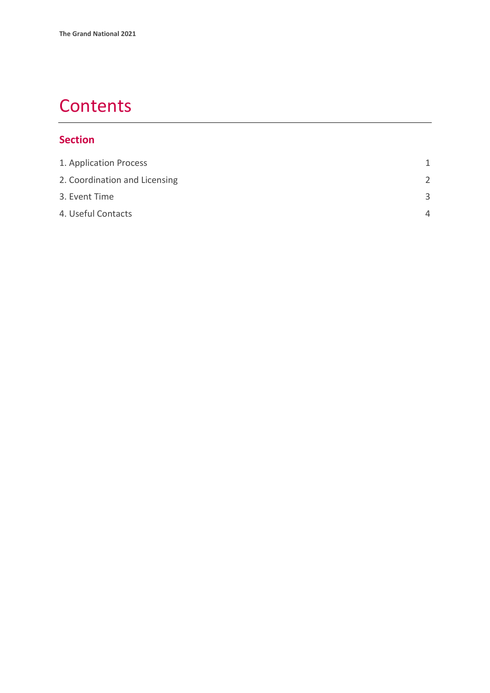### **Contents**

#### **Section**

| 1. Application Process        | 1             |
|-------------------------------|---------------|
| 2. Coordination and Licensing | $\mathcal{P}$ |
| 3. Event Time                 | $\mathbf{R}$  |
| 4. Useful Contacts            | Δ             |
|                               |               |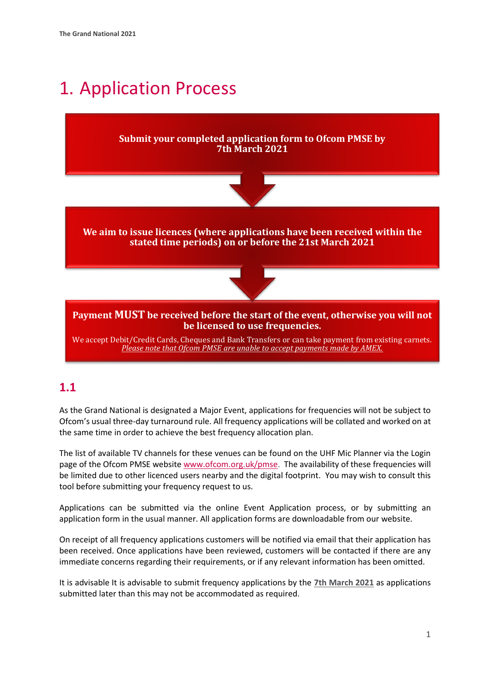## <span id="page-3-0"></span>1. Application Process

#### **Submit your completed application form to Ofcom PMSE by 7th March 2021**



**We aim to issue licences (where applications have been received within the stated time periods) on or before the 21st March 2021**



**Payment MUST be received before the start of the event, otherwise you will not be licensed to use frequencies.**

We accept Debit/Credit Cards, Cheques and Bank Transfers or can take payment from existing carnets. *Please note that Ofcom PMSE are unable to accept payments made by AMEX.*

#### **1.1**

As the Grand National is designated a Major Event, applications for frequencies will not be subject to Ofcom's usual three-day turnaround rule. All frequency applications will be collated and worked on at the same time in order to achieve the best frequency allocation plan.

The list of available TV channels for these venues can be found on the UHF Mic Planner via the Login page of the Ofcom PMSE website [www.ofcom.org.uk/pmse.](http://www.ofcom.org.uk/pmse) The availability of these frequencies will be limited due to other licenced users nearby and the digital footprint. You may wish to consult this tool before submitting your frequency request to us.

Applications can be submitted via the online Event Application process, or by submitting an application form in the usual manner. All application forms are downloadable from our website.

On receipt of all frequency applications customers will be notified via email that their application has been received. Once applications have been reviewed, customers will be contacted if there are any immediate concerns regarding their requirements, or if any relevant information has been omitted.

It is advisable It is advisable to submit frequency applications by the **7th March 2021** as applications submitted later than this may not be accommodated as required.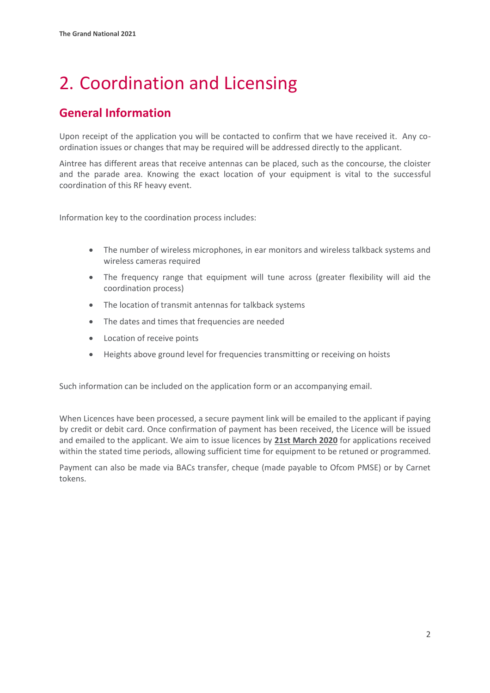# <span id="page-4-0"></span>2. Coordination and Licensing

### **General Information**

Upon receipt of the application you will be contacted to confirm that we have received it. Any coordination issues or changes that may be required will be addressed directly to the applicant.

Aintree has different areas that receive antennas can be placed, such as the concourse, the cloister and the parade area. Knowing the exact location of your equipment is vital to the successful coordination of this RF heavy event.

Information key to the coordination process includes:

- The number of wireless microphones, in ear monitors and wireless talkback systems and wireless cameras required
- The frequency range that equipment will tune across (greater flexibility will aid the coordination process)
- The location of transmit antennas for talkback systems
- The dates and times that frequencies are needed
- Location of receive points
- Heights above ground level for frequencies transmitting or receiving on hoists

Such information can be included on the application form or an accompanying email.

When Licences have been processed, a secure payment link will be emailed to the applicant if paying by credit or debit card. Once confirmation of payment has been received, the Licence will be issued and emailed to the applicant. We aim to issue licences by **21st March 2020** for applications received within the stated time periods, allowing sufficient time for equipment to be retuned or programmed.

Payment can also be made via BACs transfer, cheque (made payable to Ofcom PMSE) or by Carnet tokens.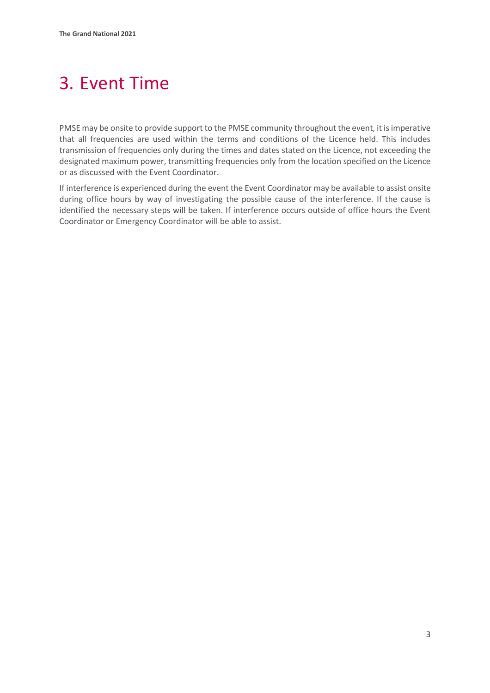# <span id="page-5-0"></span>3. Event Time

PMSE may be onsite to provide support to the PMSE community throughout the event, it is imperative that all frequencies are used within the terms and conditions of the Licence held. This includes transmission of frequencies only during the times and dates stated on the Licence, not exceeding the designated maximum power, transmitting frequencies only from the location specified on the Licence or as discussed with the Event Coordinator.

If interference is experienced during the event the Event Coordinator may be available to assist onsite during office hours by way of investigating the possible cause of the interference. If the cause is identified the necessary steps will be taken. If interference occurs outside of office hours the Event Coordinator or Emergency Coordinator will be able to assist.